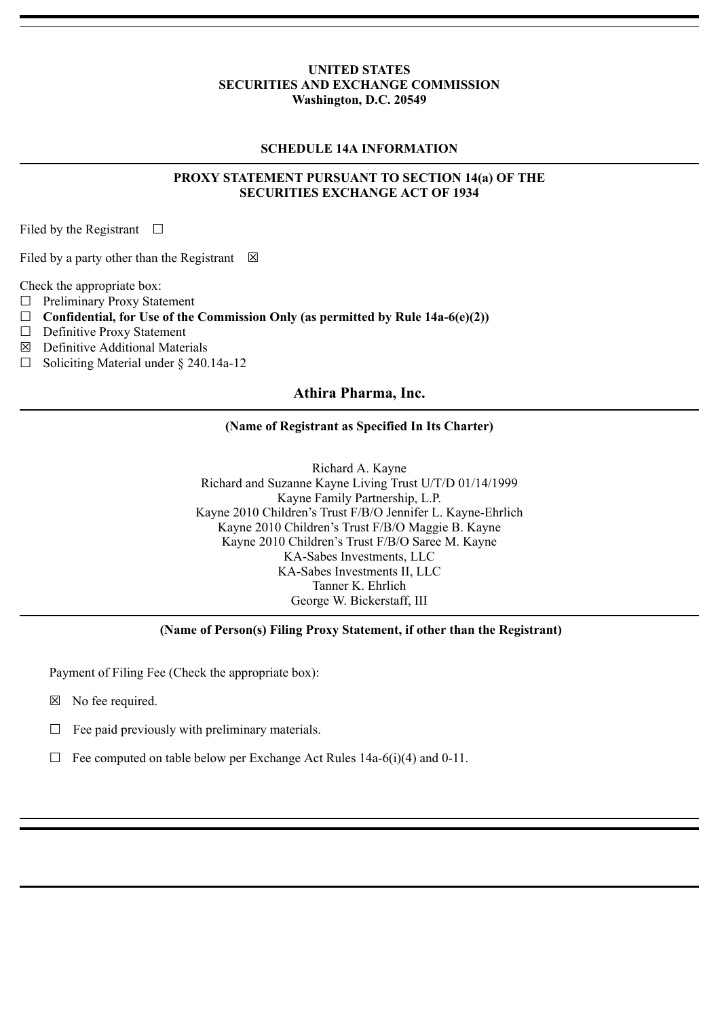#### **UNITED STATES SECURITIES AND EXCHANGE COMMISSION Washington, D.C. 20549**

## **SCHEDULE 14A INFORMATION**

## **PROXY STATEMENT PURSUANT TO SECTION 14(a) OF THE SECURITIES EXCHANGE ACT OF 1934**

Filed by the Registrant  $\Box$ 

Filed by a party other than the Registrant  $\boxtimes$ 

Check the appropriate box:

- ☐ Preliminary Proxy Statement
- $\Box$  Confidential, for Use of the Commission Only (as permitted by Rule 14a-6(e)(2))
- ☐ Definitive Proxy Statement
- $\boxtimes$  Definitive Additional Materials
- $\Box$  Soliciting Material under § 240.14a-12

## **Athira Pharma, Inc.**

#### **(Name of Registrant as Specified In Its Charter)**

Richard A. Kayne Richard and Suzanne Kayne Living Trust U/T/D 01/14/1999 Kayne Family Partnership, L.P. Kayne 2010 Children's Trust F/B/O Jennifer L. Kayne-Ehrlich Kayne 2010 Children's Trust F/B/O Maggie B. Kayne Kayne 2010 Children's Trust F/B/O Saree M. Kayne KA-Sabes Investments, LLC KA-Sabes Investments II, LLC Tanner K. Ehrlich George W. Bickerstaff, III

# **(Name of Person(s) Filing Proxy Statement, if other than the Registrant)**

Payment of Filing Fee (Check the appropriate box):

- ☒ No fee required.
- $\Box$  Fee paid previously with preliminary materials.
- $\Box$  Fee computed on table below per Exchange Act Rules 14a-6(i)(4) and 0-11.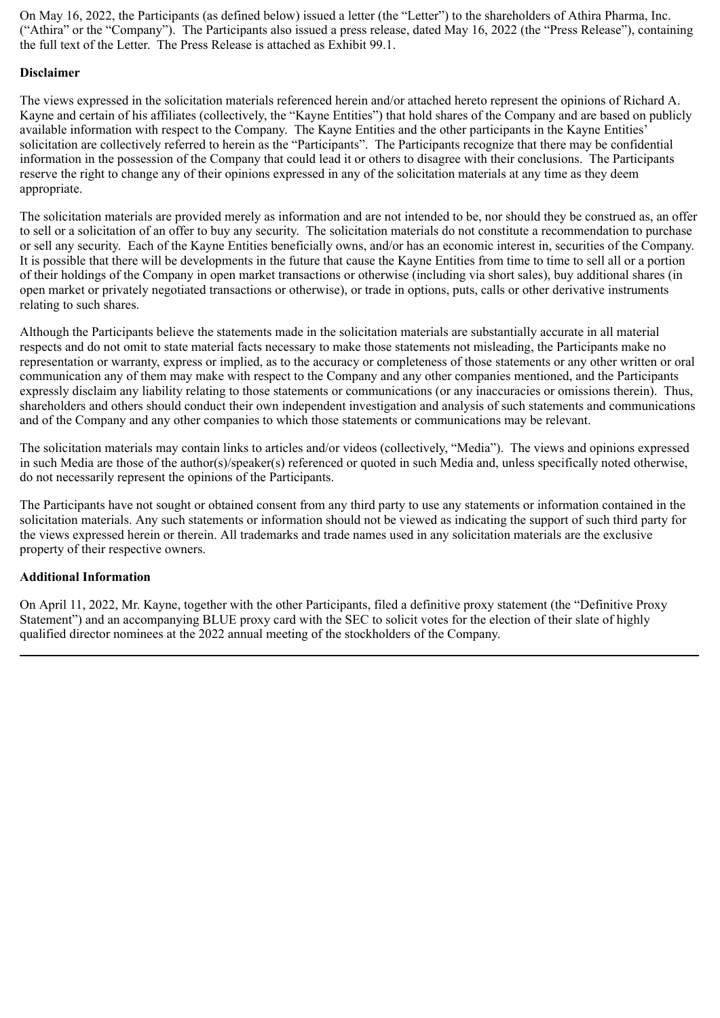On May 16, 2022, the Participants (as defined below) issued a letter (the "Letter") to the shareholders of Athira Pharma, Inc. ("Athira" or the "Company"). The Participants also issued a press release, dated May 16, 2022 (the "Press Release"), containing the full text of the Letter. The Press Release is attached as Exhibit 99.1.

## **Disclaimer**

The views expressed in the solicitation materials referenced herein and/or attached hereto represent the opinions of Richard A. Kayne and certain of his affiliates (collectively, the "Kayne Entities") that hold shares of the Company and are based on publicly available information with respect to the Company. The Kayne Entities and the other participants in the Kayne Entities' solicitation are collectively referred to herein as the "Participants". The Participants recognize that there may be confidential information in the possession of the Company that could lead it or others to disagree with their conclusions. The Participants reserve the right to change any of their opinions expressed in any of the solicitation materials at any time as they deem appropriate.

The solicitation materials are provided merely as information and are not intended to be, nor should they be construed as, an offer to sell or a solicitation of an offer to buy any security. The solicitation materials do not constitute a recommendation to purchase or sell any security. Each of the Kayne Entities beneficially owns, and/or has an economic interest in, securities of the Company. It is possible that there will be developments in the future that cause the Kayne Entities from time to time to sell all or a portion of their holdings of the Company in open market transactions or otherwise (including via short sales), buy additional shares (in open market or privately negotiated transactions or otherwise), or trade in options, puts, calls or other derivative instruments relating to such shares.

Although the Participants believe the statements made in the solicitation materials are substantially accurate in all material respects and do not omit to state material facts necessary to make those statements not misleading, the Participants make no representation or warranty, express or implied, as to the accuracy or completeness of those statements or any other written or oral communication any of them may make with respect to the Company and any other companies mentioned, and the Participants expressly disclaim any liability relating to those statements or communications (or any inaccuracies or omissions therein). Thus, shareholders and others should conduct their own independent investigation and analysis of such statements and communications and of the Company and any other companies to which those statements or communications may be relevant.

The solicitation materials may contain links to articles and/or videos (collectively, "Media"). The views and opinions expressed in such Media are those of the author(s)/speaker(s) referenced or quoted in such Media and, unless specifically noted otherwise, do not necessarily represent the opinions of the Participants.

The Participants have not sought or obtained consent from any third party to use any statements or information contained in the solicitation materials. Any such statements or information should not be viewed as indicating the support of such third party for the views expressed herein or therein. All trademarks and trade names used in any solicitation materials are the exclusive property of their respective owners.

# **Additional Information**

On April 11, 2022, Mr. Kayne, together with the other Participants, filed a definitive proxy statement (the "Definitive Proxy Statement") and an accompanying BLUE proxy card with the SEC to solicit votes for the election of their slate of highly qualified director nominees at the 2022 annual meeting of the stockholders of the Company.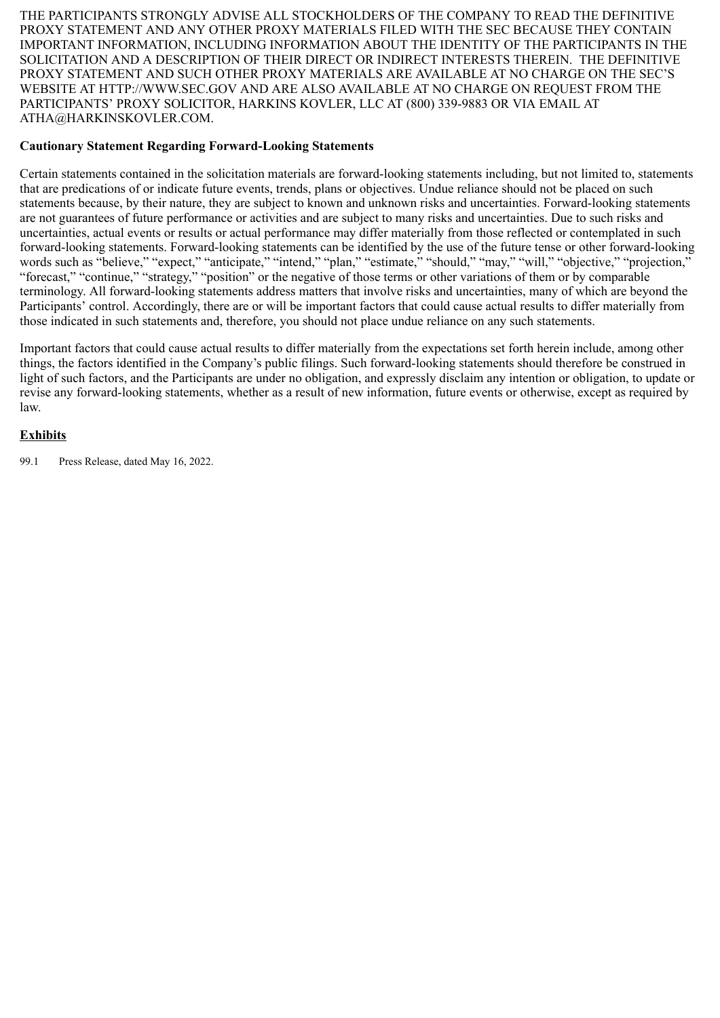THE PARTICIPANTS STRONGLY ADVISE ALL STOCKHOLDERS OF THE COMPANY TO READ THE DEFINITIVE PROXY STATEMENT AND ANY OTHER PROXY MATERIALS FILED WITH THE SEC BECAUSE THEY CONTAIN IMPORTANT INFORMATION, INCLUDING INFORMATION ABOUT THE IDENTITY OF THE PARTICIPANTS IN THE SOLICITATION AND A DESCRIPTION OF THEIR DIRECT OR INDIRECT INTERESTS THEREIN. THE DEFINITIVE PROXY STATEMENT AND SUCH OTHER PROXY MATERIALS ARE AVAILABLE AT NO CHARGE ON THE SEC'S WEBSITE AT HTTP://WWW.SEC.GOV AND ARE ALSO AVAILABLE AT NO CHARGE ON REQUEST FROM THE PARTICIPANTS' PROXY SOLICITOR, HARKINS KOVLER, LLC AT (800) 339-9883 OR VIA EMAIL AT ATHA@HARKINSKOVLER.COM.

## **Cautionary Statement Regarding Forward-Looking Statements**

Certain statements contained in the solicitation materials are forward-looking statements including, but not limited to, statements that are predications of or indicate future events, trends, plans or objectives. Undue reliance should not be placed on such statements because, by their nature, they are subject to known and unknown risks and uncertainties. Forward-looking statements are not guarantees of future performance or activities and are subject to many risks and uncertainties. Due to such risks and uncertainties, actual events or results or actual performance may differ materially from those reflected or contemplated in such forward-looking statements. Forward-looking statements can be identified by the use of the future tense or other forward-looking words such as "believe," "expect," "anticipate," "intend," "plan," "estimate," "should," "may," "will," "objective," "projection," "forecast," "continue," "strategy," "position" or the negative of those terms or other variations of them or by comparable terminology. All forward-looking statements address matters that involve risks and uncertainties, many of which are beyond the Participants' control. Accordingly, there are or will be important factors that could cause actual results to differ materially from those indicated in such statements and, therefore, you should not place undue reliance on any such statements.

Important factors that could cause actual results to differ materially from the expectations set forth herein include, among other things, the factors identified in the Company's public filings. Such forward-looking statements should therefore be construed in light of such factors, and the Participants are under no obligation, and expressly disclaim any intention or obligation, to update or revise any forward-looking statements, whether as a result of new information, future events or otherwise, except as required by law.

## **Exhibits**

99.1 Press Release, dated May 16, 2022.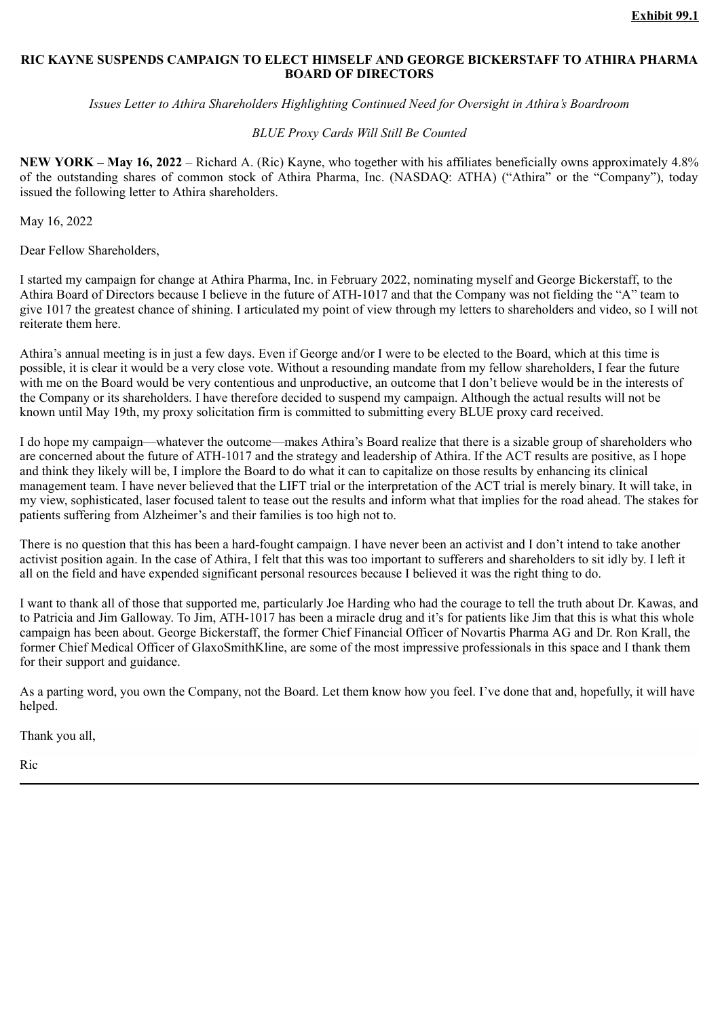## **RIC KAYNE SUSPENDS CAMPAIGN TO ELECT HIMSELF AND GEORGE BICKERSTAFF TO ATHIRA PHARMA BOARD OF DIRECTORS**

*Issues Letter to Athira Shareholders Highlighting Continued Need for Oversight in Athira's Boardroom*

#### *BLUE Proxy Cards Will Still Be Counted*

**NEW YORK – May 16, 2022** – Richard A. (Ric) Kayne, who together with his affiliates beneficially owns approximately 4.8% of the outstanding shares of common stock of Athira Pharma, Inc. (NASDAQ: ATHA) ("Athira" or the "Company"), today issued the following letter to Athira shareholders.

May 16, 2022

Dear Fellow Shareholders,

I started my campaign for change at Athira Pharma, Inc. in February 2022, nominating myself and George Bickerstaff, to the Athira Board of Directors because I believe in the future of ATH-1017 and that the Company was not fielding the "A" team to give 1017 the greatest chance of shining. I articulated my point of view through my letters to shareholders and video, so I will not reiterate them here.

Athira's annual meeting is in just a few days. Even if George and/or I were to be elected to the Board, which at this time is possible, it is clear it would be a very close vote. Without a resounding mandate from my fellow shareholders, I fear the future with me on the Board would be very contentious and unproductive, an outcome that I don't believe would be in the interests of the Company or its shareholders. I have therefore decided to suspend my campaign. Although the actual results will not be known until May 19th, my proxy solicitation firm is committed to submitting every BLUE proxy card received.

I do hope my campaign—whatever the outcome—makes Athira's Board realize that there is a sizable group of shareholders who are concerned about the future of ATH-1017 and the strategy and leadership of Athira. If the ACT results are positive, as I hope and think they likely will be, I implore the Board to do what it can to capitalize on those results by enhancing its clinical management team. I have never believed that the LIFT trial or the interpretation of the ACT trial is merely binary. It will take, in my view, sophisticated, laser focused talent to tease out the results and inform what that implies for the road ahead. The stakes for patients suffering from Alzheimer's and their families is too high not to.

There is no question that this has been a hard-fought campaign. I have never been an activist and I don't intend to take another activist position again. In the case of Athira, I felt that this was too important to sufferers and shareholders to sit idly by. I left it all on the field and have expended significant personal resources because I believed it was the right thing to do.

I want to thank all of those that supported me, particularly Joe Harding who had the courage to tell the truth about Dr. Kawas, and to Patricia and Jim Galloway. To Jim, ATH-1017 has been a miracle drug and it's for patients like Jim that this is what this whole campaign has been about. George Bickerstaff, the former Chief Financial Officer of Novartis Pharma AG and Dr. Ron Krall, the former Chief Medical Officer of GlaxoSmithKline, are some of the most impressive professionals in this space and I thank them for their support and guidance.

As a parting word, you own the Company, not the Board. Let them know how you feel. I've done that and, hopefully, it will have helped.

Thank you all,

Ric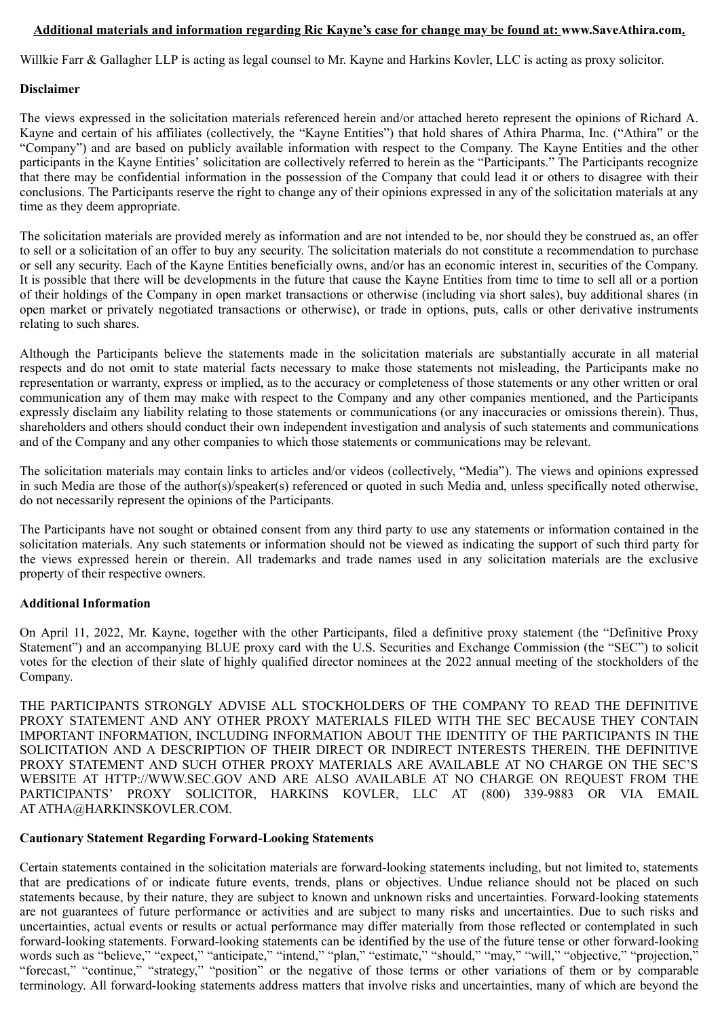## **Additional materials and information regarding Ric Kayne's case for change may be found at: www.SaveAthira.com.**

Willkie Farr & Gallagher LLP is acting as legal counsel to Mr. Kayne and Harkins Kovler, LLC is acting as proxy solicitor.

## **Disclaimer**

The views expressed in the solicitation materials referenced herein and/or attached hereto represent the opinions of Richard A. Kayne and certain of his affiliates (collectively, the "Kayne Entities") that hold shares of Athira Pharma, Inc. ("Athira" or the "Company") and are based on publicly available information with respect to the Company. The Kayne Entities and the other participants in the Kayne Entities' solicitation are collectively referred to herein as the "Participants." The Participants recognize that there may be confidential information in the possession of the Company that could lead it or others to disagree with their conclusions. The Participants reserve the right to change any of their opinions expressed in any of the solicitation materials at any time as they deem appropriate.

The solicitation materials are provided merely as information and are not intended to be, nor should they be construed as, an offer to sell or a solicitation of an offer to buy any security. The solicitation materials do not constitute a recommendation to purchase or sell any security. Each of the Kayne Entities beneficially owns, and/or has an economic interest in, securities of the Company. It is possible that there will be developments in the future that cause the Kayne Entities from time to time to sell all or a portion of their holdings of the Company in open market transactions or otherwise (including via short sales), buy additional shares (in open market or privately negotiated transactions or otherwise), or trade in options, puts, calls or other derivative instruments relating to such shares.

Although the Participants believe the statements made in the solicitation materials are substantially accurate in all material respects and do not omit to state material facts necessary to make those statements not misleading, the Participants make no representation or warranty, express or implied, as to the accuracy or completeness of those statements or any other written or oral communication any of them may make with respect to the Company and any other companies mentioned, and the Participants expressly disclaim any liability relating to those statements or communications (or any inaccuracies or omissions therein). Thus, shareholders and others should conduct their own independent investigation and analysis of such statements and communications and of the Company and any other companies to which those statements or communications may be relevant.

The solicitation materials may contain links to articles and/or videos (collectively, "Media"). The views and opinions expressed in such Media are those of the author(s)/speaker(s) referenced or quoted in such Media and, unless specifically noted otherwise, do not necessarily represent the opinions of the Participants.

The Participants have not sought or obtained consent from any third party to use any statements or information contained in the solicitation materials. Any such statements or information should not be viewed as indicating the support of such third party for the views expressed herein or therein. All trademarks and trade names used in any solicitation materials are the exclusive property of their respective owners.

### **Additional Information**

On April 11, 2022, Mr. Kayne, together with the other Participants, filed a definitive proxy statement (the "Definitive Proxy Statement") and an accompanying BLUE proxy card with the U.S. Securities and Exchange Commission (the "SEC") to solicit votes for the election of their slate of highly qualified director nominees at the 2022 annual meeting of the stockholders of the Company.

THE PARTICIPANTS STRONGLY ADVISE ALL STOCKHOLDERS OF THE COMPANY TO READ THE DEFINITIVE PROXY STATEMENT AND ANY OTHER PROXY MATERIALS FILED WITH THE SEC BECAUSE THEY CONTAIN IMPORTANT INFORMATION, INCLUDING INFORMATION ABOUT THE IDENTITY OF THE PARTICIPANTS IN THE SOLICITATION AND A DESCRIPTION OF THEIR DIRECT OR INDIRECT INTERESTS THEREIN. THE DEFINITIVE PROXY STATEMENT AND SUCH OTHER PROXY MATERIALS ARE AVAILABLE AT NO CHARGE ON THE SEC'S WEBSITE AT HTTP://WWW.SEC.GOV AND ARE ALSO AVAILABLE AT NO CHARGE ON REQUEST FROM THE PARTICIPANTS' PROXY SOLICITOR, HARKINS KOVLER, LLC AT (800) 339-9883 OR VIA EMAIL AT ATHA@HARKINSKOVLER.COM.

### **Cautionary Statement Regarding Forward-Looking Statements**

Certain statements contained in the solicitation materials are forward-looking statements including, but not limited to, statements that are predications of or indicate future events, trends, plans or objectives. Undue reliance should not be placed on such statements because, by their nature, they are subject to known and unknown risks and uncertainties. Forward-looking statements are not guarantees of future performance or activities and are subject to many risks and uncertainties. Due to such risks and uncertainties, actual events or results or actual performance may differ materially from those reflected or contemplated in such forward-looking statements. Forward-looking statements can be identified by the use of the future tense or other forward-looking words such as "believe," "expect," "anticipate," "intend," "plan," "estimate," "should," "may," "will," "objective," "projection," "forecast," "continue," "strategy," "position" or the negative of those terms or other variations of them or by comparable terminology. All forward-looking statements address matters that involve risks and uncertainties, many of which are beyond the